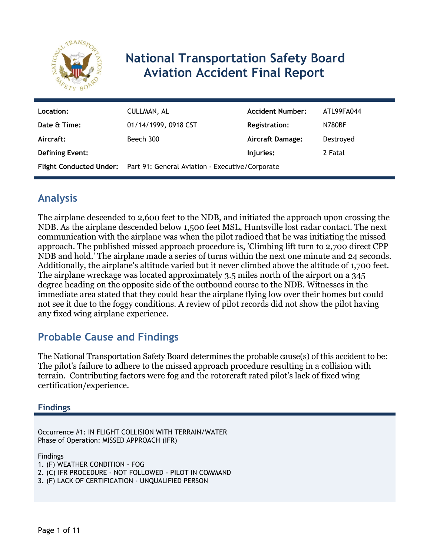

# **National Transportation Safety Board Aviation Accident Final Report**

| Location:              | CULLMAN, AL                                                             | <b>Accident Number:</b> | ATL99FA044    |  |
|------------------------|-------------------------------------------------------------------------|-------------------------|---------------|--|
| Date & Time:           | 01/14/1999, 0918 CST                                                    | <b>Registration:</b>    | <b>N780BF</b> |  |
| Aircraft:              | Beech 300                                                               | <b>Aircraft Damage:</b> | Destroyed     |  |
| <b>Defining Event:</b> | Injuries:<br>2 Fatal                                                    |                         |               |  |
|                        | Flight Conducted Under: Part 91: General Aviation - Executive/Corporate |                         |               |  |

## **Analysis**

The airplane descended to 2,600 feet to the NDB, and initiated the approach upon crossing the NDB. As the airplane descended below 1,500 feet MSL, Huntsville lost radar contact. The next communication with the airplane was when the pilot radioed that he was initiating the missed approach. The published missed approach procedure is, 'Climbing lift turn to 2,700 direct CPP NDB and hold.' The airplane made a series of turns within the next one minute and 24 seconds. Additionally, the airplane's altitude varied but it never climbed above the altitude of 1,700 feet. The airplane wreckage was located approximately 3.5 miles north of the airport on a 345 degree heading on the opposite side of the outbound course to the NDB. Witnesses in the immediate area stated that they could hear the airplane flying low over their homes but could not see it due to the foggy conditions. A review of pilot records did not show the pilot having any fixed wing airplane experience.

## **Probable Cause and Findings**

The National Transportation Safety Board determines the probable cause(s) of this accident to be: The pilot's failure to adhere to the missed approach procedure resulting in a collision with terrain. Contributing factors were fog and the rotorcraft rated pilot's lack of fixed wing certification/experience.

## **Findings**

Occurrence #1: IN FLIGHT COLLISION WITH TERRAIN/WATER Phase of Operation: MISSED APPROACH (IFR)

Findings

1. (F) WEATHER CONDITION - FOG

- 2. (C) IFR PROCEDURE NOT FOLLOWED PILOT IN COMMAND
- 3. (F) LACK OF CERTIFICATION UNQUALIFIED PERSON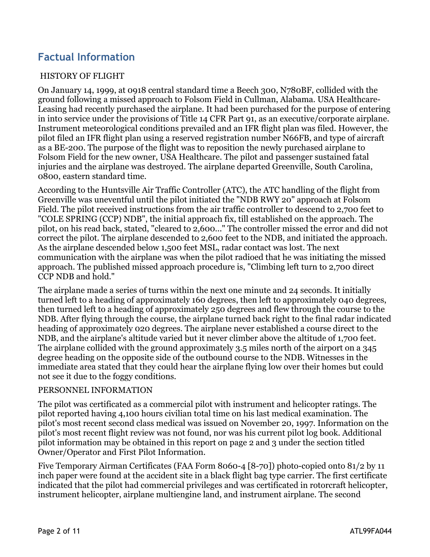## **Factual Information**

#### HISTORY OF FLIGHT

On January 14, 1999, at 0918 central standard time a Beech 300, N780BF, collided with the ground following a missed approach to Folsom Field in Cullman, Alabama. USA Healthcare-Leasing had recently purchased the airplane. It had been purchased for the purpose of entering in into service under the provisions of Title 14 CFR Part 91, as an executive/corporate airplane. Instrument meteorological conditions prevailed and an IFR flight plan was filed. However, the pilot filed an IFR flight plan using a reserved registration number N66FB, and type of aircraft as a BE-200. The purpose of the flight was to reposition the newly purchased airplane to Folsom Field for the new owner, USA Healthcare. The pilot and passenger sustained fatal injuries and the airplane was destroyed. The airplane departed Greenville, South Carolina, 0800, eastern standard time.

According to the Huntsville Air Traffic Controller (ATC), the ATC handling of the flight from Greenville was uneventful until the pilot initiated the "NDB RWY 20" approach at Folsom Field. The pilot received instructions from the air traffic controller to descend to 2,700 feet to "COLE SPRING (CCP) NDB", the initial approach fix, till established on the approach. The pilot, on his read back, stated, "cleared to 2,600..." The controller missed the error and did not correct the pilot. The airplane descended to 2,600 feet to the NDB, and initiated the approach. As the airplane descended below 1,500 feet MSL, radar contact was lost. The next communication with the airplane was when the pilot radioed that he was initiating the missed approach. The published missed approach procedure is, "Climbing left turn to 2,700 direct CCP NDB and hold."

The airplane made a series of turns within the next one minute and 24 seconds. It initially turned left to a heading of approximately 160 degrees, then left to approximately 040 degrees, then turned left to a heading of approximately 250 degrees and flew through the course to the NDB. After flying through the course, the airplane turned back right to the final radar indicated heading of approximately 020 degrees. The airplane never established a course direct to the NDB, and the airplane's altitude varied but it never climber above the altitude of 1,700 feet. The airplane collided with the ground approximately 3.5 miles north of the airport on a 345 degree heading on the opposite side of the outbound course to the NDB. Witnesses in the immediate area stated that they could hear the airplane flying low over their homes but could not see it due to the foggy conditions.

#### PERSONNEL INFORMATION

The pilot was certificated as a commercial pilot with instrument and helicopter ratings. The pilot reported having 4,100 hours civilian total time on his last medical examination. The pilot's most recent second class medical was issued on November 20, 1997. Information on the pilot's most recent flight review was not found, nor was his current pilot log book. Additional pilot information may be obtained in this report on page 2 and 3 under the section titled Owner/Operator and First Pilot Information.

Five Temporary Airman Certificates (FAA Form 8060-4 [8-70]) photo-copied onto 81/2 by 11 inch paper were found at the accident site in a black flight bag type carrier. The first certificate indicated that the pilot had commercial privileges and was certificated in rotorcraft helicopter, instrument helicopter, airplane multiengine land, and instrument airplane. The second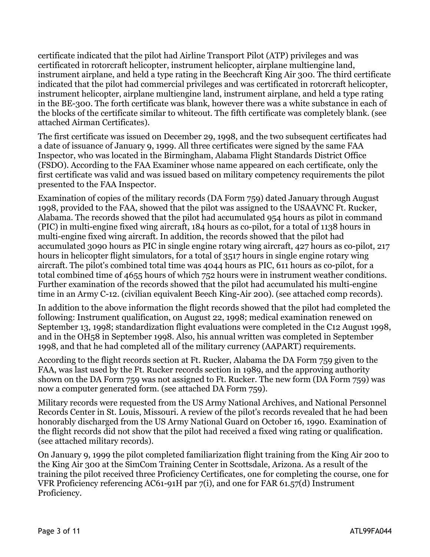certificate indicated that the pilot had Airline Transport Pilot (ATP) privileges and was certificated in rotorcraft helicopter, instrument helicopter, airplane multiengine land, instrument airplane, and held a type rating in the Beechcraft King Air 300. The third certificate indicated that the pilot had commercial privileges and was certificated in rotorcraft helicopter, instrument helicopter, airplane multiengine land, instrument airplane, and held a type rating in the BE-300. The forth certificate was blank, however there was a white substance in each of the blocks of the certificate similar to whiteout. The fifth certificate was completely blank. (see attached Airman Certificates).

The first certificate was issued on December 29, 1998, and the two subsequent certificates had a date of issuance of January 9, 1999. All three certificates were signed by the same FAA Inspector, who was located in the Birmingham, Alabama Flight Standards District Office (FSDO). According to the FAA Examiner whose name appeared on each certificate, only the first certificate was valid and was issued based on military competency requirements the pilot presented to the FAA Inspector.

Examination of copies of the military records (DA Form 759) dated January through August 1998, provided to the FAA, showed that the pilot was assigned to the USAAVNC Ft. Rucker, Alabama. The records showed that the pilot had accumulated 954 hours as pilot in command (PIC) in multi-engine fixed wing aircraft, 184 hours as co-pilot, for a total of 1138 hours in multi-engine fixed wing aircraft. In addition, the records showed that the pilot had accumulated 3090 hours as PIC in single engine rotary wing aircraft, 427 hours as co-pilot, 217 hours in helicopter flight simulators, for a total of 3517 hours in single engine rotary wing aircraft. The pilot's combined total time was 4044 hours as PIC, 611 hours as co-pilot, for a total combined time of 4655 hours of which 752 hours were in instrument weather conditions. Further examination of the records showed that the pilot had accumulated his multi-engine time in an Army C-12. (civilian equivalent Beech King-Air 200). (see attached comp records).

In addition to the above information the flight records showed that the pilot had completed the following: Instrument qualification, on August 22, 1998; medical examination renewed on September 13, 1998; standardization flight evaluations were completed in the C12 August 1998, and in the OH58 in September 1998. Also, his annual written was completed in September 1998, and that he had completed all of the military currency (AAPART) requirements.

According to the flight records section at Ft. Rucker, Alabama the DA Form 759 given to the FAA, was last used by the Ft. Rucker records section in 1989, and the approving authority shown on the DA Form 759 was not assigned to Ft. Rucker. The new form (DA Form 759) was now a computer generated form. (see attached DA Form 759).

Military records were requested from the US Army National Archives, and National Personnel Records Center in St. Louis, Missouri. A review of the pilot's records revealed that he had been honorably discharged from the US Army National Guard on October 16, 1990. Examination of the flight records did not show that the pilot had received a fixed wing rating or qualification. (see attached military records).

On January 9, 1999 the pilot completed familiarization flight training from the King Air 200 to the King Air 300 at the SimCom Training Center in Scottsdale, Arizona. As a result of the training the pilot received three Proficiency Certificates, one for completing the course, one for VFR Proficiency referencing AC61-91H par 7(i), and one for FAR 61.57(d) Instrument Proficiency.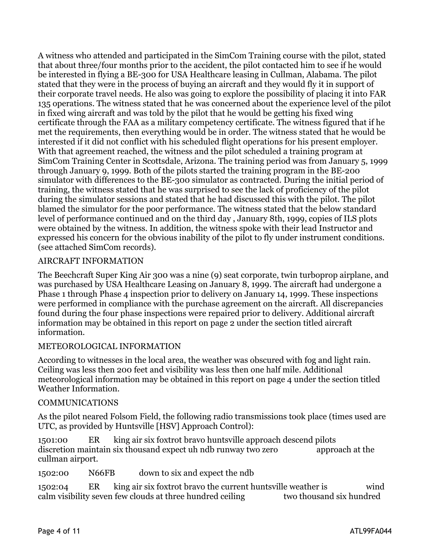A witness who attended and participated in the SimCom Training course with the pilot, stated that about three/four months prior to the accident, the pilot contacted him to see if he would be interested in flying a BE-300 for USA Healthcare leasing in Cullman, Alabama. The pilot stated that they were in the process of buying an aircraft and they would fly it in support of their corporate travel needs. He also was going to explore the possibility of placing it into FAR 135 operations. The witness stated that he was concerned about the experience level of the pilot in fixed wing aircraft and was told by the pilot that he would be getting his fixed wing certificate through the FAA as a military competency certificate. The witness figured that if he met the requirements, then everything would be in order. The witness stated that he would be interested if it did not conflict with his scheduled flight operations for his present employer. With that agreement reached, the witness and the pilot scheduled a training program at SimCom Training Center in Scottsdale, Arizona. The training period was from January 5, 1999 through January 9, 1999. Both of the pilots started the training program in the BE-200 simulator with differences to the BE-300 simulator as contracted. During the initial period of training, the witness stated that he was surprised to see the lack of proficiency of the pilot during the simulator sessions and stated that he had discussed this with the pilot. The pilot blamed the simulator for the poor performance. The witness stated that the below standard level of performance continued and on the third day , January 8th, 1999, copies of ILS plots were obtained by the witness. In addition, the witness spoke with their lead Instructor and expressed his concern for the obvious inability of the pilot to fly under instrument conditions. (see attached SimCom records).

#### AIRCRAFT INFORMATION

The Beechcraft Super King Air 300 was a nine (9) seat corporate, twin turboprop airplane, and was purchased by USA Healthcare Leasing on January 8, 1999. The aircraft had undergone a Phase 1 through Phase 4 inspection prior to delivery on January 14, 1999. These inspections were performed in compliance with the purchase agreement on the aircraft. All discrepancies found during the four phase inspections were repaired prior to delivery. Additional aircraft information may be obtained in this report on page 2 under the section titled aircraft information.

#### METEOROLOGICAL INFORMATION

According to witnesses in the local area, the weather was obscured with fog and light rain. Ceiling was less then 200 feet and visibility was less then one half mile. Additional meteorological information may be obtained in this report on page 4 under the section titled Weather Information.

#### COMMUNICATIONS

As the pilot neared Folsom Field, the following radio transmissions took place (times used are UTC, as provided by Huntsville [HSV] Approach Control):

1501:00 ER king air six foxtrot bravo huntsville approach descend pilots discretion maintain six thousand expect uh ndb runway two zero approach at the cullman airport.

1502:00 N66FB down to six and expect the ndb

1502:04 ER king air six foxtrot bravo the current huntsville weather is wind calm visibility seven few clouds at three hundred ceiling two thousand six hundred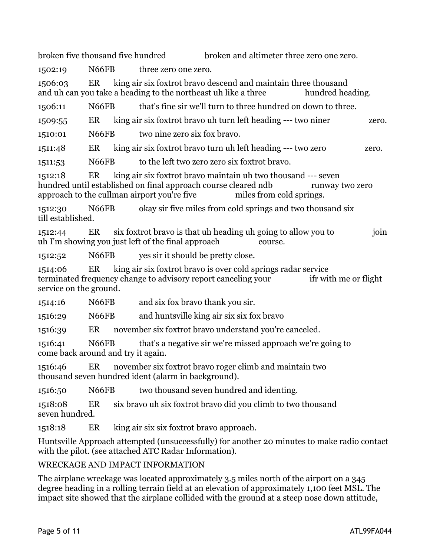broken five thousand five hundred broken and altimeter three zero one zero.

1502:19 N66FB three zero one zero.

1506:03 ER king air six foxtrot bravo descend and maintain three thousand and uh can you take a heading to the northeast uh like a three hundred heading.

1506:11 N66FB that's fine sir we'll turn to three hundred on down to three.

1509:55 ER king air six foxtrot bravo uh turn left heading --- two niner zero.

1510:01 N66FB two nine zero six fox bravo.

1511:48 ER king air six foxtrot bravo turn uh left heading --- two zero zero.

1511:53 N66FB to the left two zero zero six foxtrot bravo.

1512:18 ER king air six foxtrot bravo maintain uh two thousand --- seven hundred until established on final approach course cleared ndb runway two zero approach to the cullman airport you're five miles from cold springs.

1512:30 N66FB okay sir five miles from cold springs and two thousand six till established.

1512:44 ER six foxtrot bravo is that uh heading uh going to allow you to join uh I'm showing you just left of the final approach course.

1512:52 N66FB yes sir it should be pretty close.

1514:06 ER king air six foxtrot bravo is over cold springs radar service terminated frequency change to advisory report canceling your ifr with me or flight service on the ground.

1514:16 N66FB and six fox bravo thank you sir.

1516:29 N66FB and huntsville king air six six fox bravo

1516:39 ER november six foxtrot bravo understand you're canceled.

1516:41 N66FB that's a negative sir we're missed approach we're going to come back around and try it again.

1516:46 ER november six foxtrot bravo roger climb and maintain two thousand seven hundred ident (alarm in background).

1516:50 N66FB two thousand seven hundred and identing.

1518:08 ER six bravo uh six foxtrot bravo did you climb to two thousand seven hundred.

1518:18 ER king air six six foxtrot bravo approach.

Huntsville Approach attempted (unsuccessfully) for another 20 minutes to make radio contact with the pilot. (see attached ATC Radar Information).

## WRECKAGE AND IMPACT INFORMATION

The airplane wreckage was located approximately 3.5 miles north of the airport on a 345 degree heading in a rolling terrain field at an elevation of approximately 1,100 feet MSL. The impact site showed that the airplane collided with the ground at a steep nose down attitude,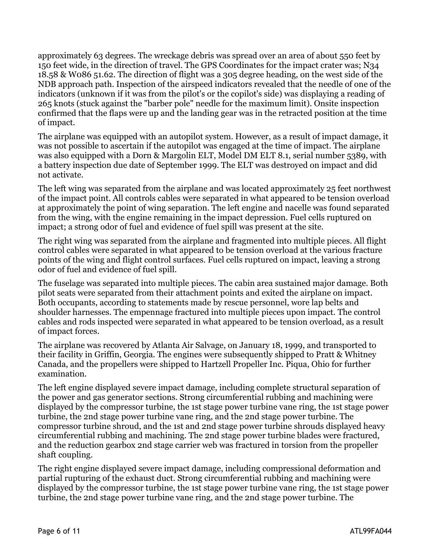approximately 63 degrees. The wreckage debris was spread over an area of about 550 feet by 150 feet wide, in the direction of travel. The GPS Coordinates for the impact crater was; N34 18.58 & W086 51.62. The direction of flight was a 305 degree heading, on the west side of the NDB approach path. Inspection of the airspeed indicators revealed that the needle of one of the indicators (unknown if it was from the pilot's or the copilot's side) was displaying a reading of 265 knots (stuck against the "barber pole" needle for the maximum limit). Onsite inspection confirmed that the flaps were up and the landing gear was in the retracted position at the time of impact.

The airplane was equipped with an autopilot system. However, as a result of impact damage, it was not possible to ascertain if the autopilot was engaged at the time of impact. The airplane was also equipped with a Dorn & Margolin ELT, Model DM ELT 8.1, serial number 5389, with a battery inspection due date of September 1999. The ELT was destroyed on impact and did not activate.

The left wing was separated from the airplane and was located approximately 25 feet northwest of the impact point. All controls cables were separated in what appeared to be tension overload at approximately the point of wing separation. The left engine and nacelle was found separated from the wing, with the engine remaining in the impact depression. Fuel cells ruptured on impact; a strong odor of fuel and evidence of fuel spill was present at the site.

The right wing was separated from the airplane and fragmented into multiple pieces. All flight control cables were separated in what appeared to be tension overload at the various fracture points of the wing and flight control surfaces. Fuel cells ruptured on impact, leaving a strong odor of fuel and evidence of fuel spill.

The fuselage was separated into multiple pieces. The cabin area sustained major damage. Both pilot seats were separated from their attachment points and exited the airplane on impact. Both occupants, according to statements made by rescue personnel, wore lap belts and shoulder harnesses. The empennage fractured into multiple pieces upon impact. The control cables and rods inspected were separated in what appeared to be tension overload, as a result of impact forces.

The airplane was recovered by Atlanta Air Salvage, on January 18, 1999, and transported to their facility in Griffin, Georgia. The engines were subsequently shipped to Pratt & Whitney Canada, and the propellers were shipped to Hartzell Propeller Inc. Piqua, Ohio for further examination.

The left engine displayed severe impact damage, including complete structural separation of the power and gas generator sections. Strong circumferential rubbing and machining were displayed by the compressor turbine, the 1st stage power turbine vane ring, the 1st stage power turbine, the 2nd stage power turbine vane ring, and the 2nd stage power turbine. The compressor turbine shroud, and the 1st and 2nd stage power turbine shrouds displayed heavy circumferential rubbing and machining. The 2nd stage power turbine blades were fractured, and the reduction gearbox 2nd stage carrier web was fractured in torsion from the propeller shaft coupling.

The right engine displayed severe impact damage, including compressional deformation and partial rupturing of the exhaust duct. Strong circumferential rubbing and machining were displayed by the compressor turbine, the 1st stage power turbine vane ring, the 1st stage power turbine, the 2nd stage power turbine vane ring, and the 2nd stage power turbine. The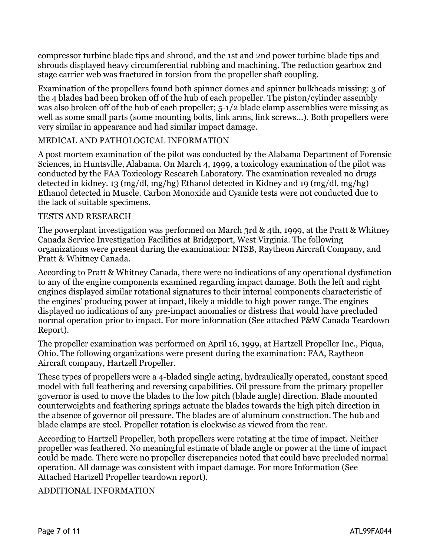compressor turbine blade tips and shroud, and the 1st and 2nd power turbine blade tips and shrouds displayed heavy circumferential rubbing and machining. The reduction gearbox 2nd stage carrier web was fractured in torsion from the propeller shaft coupling.

Examination of the propellers found both spinner domes and spinner bulkheads missing: 3 of the 4 blades had been broken off of the hub of each propeller. The piston/cylinder assembly was also broken off of the hub of each propeller;  $5-1/2$  blade clamp assemblies were missing as well as some small parts (some mounting bolts, link arms, link screws...). Both propellers were very similar in appearance and had similar impact damage.

### MEDICAL AND PATHOLOGICAL INFORMATION

A post mortem examination of the pilot was conducted by the Alabama Department of Forensic Sciences, in Huntsville, Alabama. On March 4, 1999, a toxicology examination of the pilot was conducted by the FAA Toxicology Research Laboratory. The examination revealed no drugs detected in kidney. 13 (mg/dl, mg/hg) Ethanol detected in Kidney and 19 (mg/dl, mg/hg) Ethanol detected in Muscle. Carbon Monoxide and Cyanide tests were not conducted due to the lack of suitable specimens.

#### TESTS AND RESEARCH

The powerplant investigation was performed on March 3rd & 4th, 1999, at the Pratt & Whitney Canada Service Investigation Facilities at Bridgeport, West Virginia. The following organizations were present during the examination: NTSB, Raytheon Aircraft Company, and Pratt & Whitney Canada.

According to Pratt & Whitney Canada, there were no indications of any operational dysfunction to any of the engine components examined regarding impact damage. Both the left and right engines displayed similar rotational signatures to their internal components characteristic of the engines' producing power at impact, likely a middle to high power range. The engines displayed no indications of any pre-impact anomalies or distress that would have precluded normal operation prior to impact. For more information (See attached P&W Canada Teardown Report).

The propeller examination was performed on April 16, 1999, at Hartzell Propeller Inc., Piqua, Ohio. The following organizations were present during the examination: FAA, Raytheon Aircraft company, Hartzell Propeller.

These types of propellers were a 4-bladed single acting, hydraulically operated, constant speed model with full feathering and reversing capabilities. Oil pressure from the primary propeller governor is used to move the blades to the low pitch (blade angle) direction. Blade mounted counterweights and feathering springs actuate the blades towards the high pitch direction in the absence of governor oil pressure. The blades are of aluminum construction. The hub and blade clamps are steel. Propeller rotation is clockwise as viewed from the rear.

According to Hartzell Propeller, both propellers were rotating at the time of impact. Neither propeller was feathered. No meaningful estimate of blade angle or power at the time of impact could be made. There were no propeller discrepancies noted that could have precluded normal operation. All damage was consistent with impact damage. For more Information (See Attached Hartzell Propeller teardown report).

### ADDITIONAL INFORMATION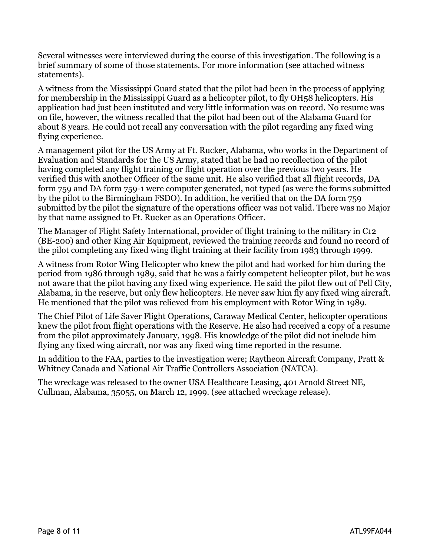Several witnesses were interviewed during the course of this investigation. The following is a brief summary of some of those statements. For more information (see attached witness statements).

A witness from the Mississippi Guard stated that the pilot had been in the process of applying for membership in the Mississippi Guard as a helicopter pilot, to fly OH58 helicopters. His application had just been instituted and very little information was on record. No resume was on file, however, the witness recalled that the pilot had been out of the Alabama Guard for about 8 years. He could not recall any conversation with the pilot regarding any fixed wing flying experience.

A management pilot for the US Army at Ft. Rucker, Alabama, who works in the Department of Evaluation and Standards for the US Army, stated that he had no recollection of the pilot having completed any flight training or flight operation over the previous two years. He verified this with another Officer of the same unit. He also verified that all flight records, DA form 759 and DA form 759-1 were computer generated, not typed (as were the forms submitted by the pilot to the Birmingham FSDO). In addition, he verified that on the DA form 759 submitted by the pilot the signature of the operations officer was not valid. There was no Major by that name assigned to Ft. Rucker as an Operations Officer.

The Manager of Flight Safety International, provider of flight training to the military in C12 (BE-200) and other King Air Equipment, reviewed the training records and found no record of the pilot completing any fixed wing flight training at their facility from 1983 through 1999.

A witness from Rotor Wing Helicopter who knew the pilot and had worked for him during the period from 1986 through 1989, said that he was a fairly competent helicopter pilot, but he was not aware that the pilot having any fixed wing experience. He said the pilot flew out of Pell City, Alabama, in the reserve, but only flew helicopters. He never saw him fly any fixed wing aircraft. He mentioned that the pilot was relieved from his employment with Rotor Wing in 1989.

The Chief Pilot of Life Saver Flight Operations, Caraway Medical Center, helicopter operations knew the pilot from flight operations with the Reserve. He also had received a copy of a resume from the pilot approximately January, 1998. His knowledge of the pilot did not include him flying any fixed wing aircraft, nor was any fixed wing time reported in the resume.

In addition to the FAA, parties to the investigation were; Raytheon Aircraft Company, Pratt & Whitney Canada and National Air Traffic Controllers Association (NATCA).

The wreckage was released to the owner USA Healthcare Leasing, 401 Arnold Street NE, Cullman, Alabama, 35055, on March 12, 1999. (see attached wreckage release).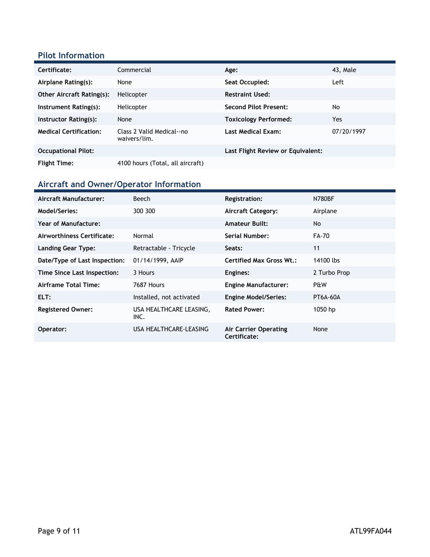## **Pilot Information**

| Certificate:                     | Commercial                                | Age:                              | 43, Male   |
|----------------------------------|-------------------------------------------|-----------------------------------|------------|
| Airplane Rating(s):              | None                                      | Seat Occupied:                    | Left       |
| <b>Other Aircraft Rating(s):</b> | Helicopter                                | <b>Restraint Used:</b>            |            |
| Instrument Rating(s):            | Helicopter                                | <b>Second Pilot Present:</b>      | No         |
| Instructor Rating(s):            | None                                      | <b>Toxicology Performed:</b>      | Yes        |
| <b>Medical Certification:</b>    | Class 2 Valid Medical--no<br>waivers/lim. | <b>Last Medical Exam:</b>         | 07/20/1997 |
| <b>Occupational Pilot:</b>       |                                           | Last Flight Review or Equivalent: |            |
| <b>Flight Time:</b>              | 4100 hours (Total, all aircraft)          |                                   |            |

## **Aircraft and Owner/Operator Information**

| Aircraft Manufacturer:        | <b>Beech</b>                    | <b>Registration:</b>                         | <b>N780BF</b> |
|-------------------------------|---------------------------------|----------------------------------------------|---------------|
| Model/Series:                 | 300 300                         | <b>Aircraft Category:</b>                    | Airplane      |
| Year of Manufacture:          |                                 | <b>Amateur Built:</b>                        | No.           |
| Airworthiness Certificate:    | Normal                          | Serial Number:                               | FA-70         |
| <b>Landing Gear Type:</b>     | Retractable - Tricycle          | Seats:                                       | 11            |
| Date/Type of Last Inspection: | 01/14/1999, AAIP                | <b>Certified Max Gross Wt.:</b>              | 14100 lbs     |
| Time Since Last Inspection:   | 3 Hours                         | Engines:                                     | 2 Turbo Prop  |
| Airframe Total Time:          | 7687 Hours                      | <b>Engine Manufacturer:</b>                  | P&W           |
| ELT:                          | Installed, not activated        | <b>Engine Model/Series:</b>                  | PT6A-60A      |
| <b>Registered Owner:</b>      | USA HEALTHCARE LEASING,<br>INC. | <b>Rated Power:</b>                          | 1050 hp       |
| Operator:                     | USA HEALTHCARE-LEASING          | <b>Air Carrier Operating</b><br>Certificate: | None          |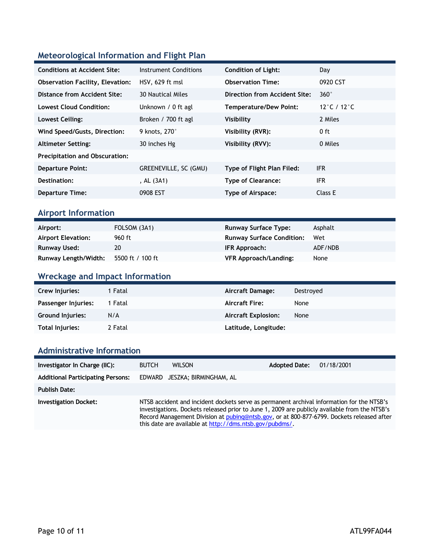## **Meteorological Information and Flight Plan**

| <b>Conditions at Accident Site:</b>     | Instrument Conditions    | <b>Condition of Light:</b>        | Day                               |
|-----------------------------------------|--------------------------|-----------------------------------|-----------------------------------|
| <b>Observation Facility, Elevation:</b> | HSV, 629 ft msl          | <b>Observation Time:</b>          | 0920 CST                          |
| Distance from Accident Site:            | <b>30 Nautical Miles</b> | Direction from Accident Site:     | $360^\circ$                       |
| <b>Lowest Cloud Condition:</b>          | Unknown / 0 ft agl       | <b>Temperature/Dew Point:</b>     | 12 $^{\circ}$ C / 12 $^{\circ}$ C |
| Lowest Ceiling:                         | Broken / 700 ft agl      | Visibility                        | 2 Miles                           |
| Wind Speed/Gusts, Direction:            | 9 knots, 270°            | Visibility (RVR):                 | $0$ ft                            |
| <b>Altimeter Setting:</b>               | 30 inches Hg             | Visibility (RVV):                 | 0 Miles                           |
| <b>Precipitation and Obscuration:</b>   |                          |                                   |                                   |
| <b>Departure Point:</b>                 | GREENEVILLE, SC (GMU)    | <b>Type of Flight Plan Filed:</b> | <b>IFR</b>                        |
| Destination:                            | , AL (3A1)               | <b>Type of Clearance:</b>         | <b>IFR</b>                        |
| <b>Departure Time:</b>                  | 0908 EST                 | Type of Airspace:                 | Class E                           |
|                                         |                          |                                   |                                   |

### **Airport Information**

| Airport:                  | FOLSOM (3A1)     | <b>Runway Surface Type:</b>      | Asphalt |
|---------------------------|------------------|----------------------------------|---------|
| <b>Airport Elevation:</b> | 960 ft           | <b>Runway Surface Condition:</b> | Wet     |
| Runway Used:              | 20               | IFR Approach:                    | ADF/NDB |
| Runway Length/Width:      | 5500 ft / 100 ft | <b>VFR Approach/Landing:</b>     | None    |

## **Wreckage and Impact Information**

| Crew Injuries:          | 1 Fatal | Aircraft Damage:           | Destroved |
|-------------------------|---------|----------------------------|-----------|
| Passenger Injuries:     | 1 Fatal | <b>Aircraft Fire:</b>      | None      |
| <b>Ground Injuries:</b> | N/A     | <b>Aircraft Explosion:</b> | None      |
| Total Injuries:         | 2 Fatal | Latitude, Longitude:       |           |

### **Administrative Information**

| Investigator In Charge (IIC):            | <b>BUTCH</b> | <b>WILSON</b>                                                                                                                                                                                                                                                                                                                                      | <b>Adopted Date:</b> | 01/18/2001 |
|------------------------------------------|--------------|----------------------------------------------------------------------------------------------------------------------------------------------------------------------------------------------------------------------------------------------------------------------------------------------------------------------------------------------------|----------------------|------------|
| <b>Additional Participating Persons:</b> |              | EDWARD JESZKA; BIRMINGHAM, AL                                                                                                                                                                                                                                                                                                                      |                      |            |
| <b>Publish Date:</b>                     |              |                                                                                                                                                                                                                                                                                                                                                    |                      |            |
| <b>Investigation Docket:</b>             |              | NTSB accident and incident dockets serve as permanent archival information for the NTSB's<br>investigations. Dockets released prior to June 1, 2009 are publicly available from the NTSB's<br>Record Management Division at pubing@ntsb.gov, or at 800-877-6799. Dockets released after<br>this date are available at http://dms.ntsb.gov/pubdms/. |                      |            |